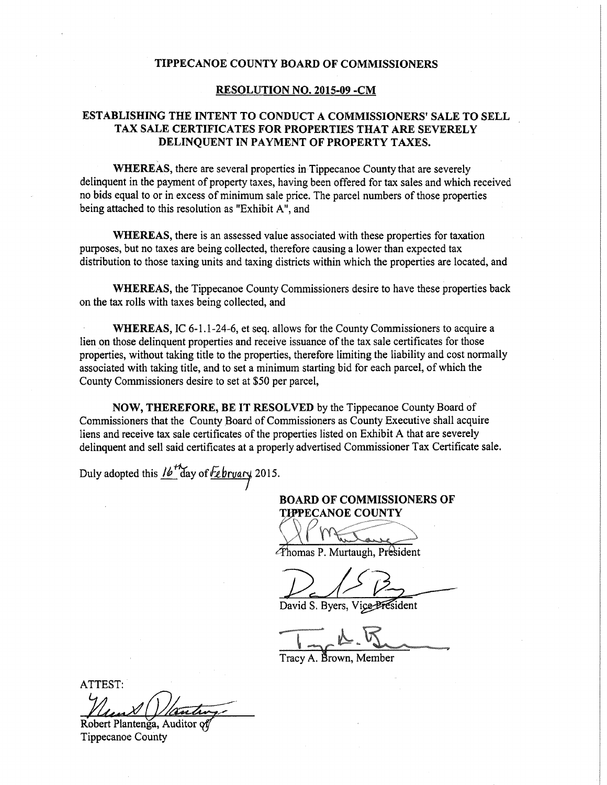## TIPPECANOE COUNTY BOARD OF COMMISSIONERS

## RESOLUTION NO. 2015-09 -CM

## ESTABLISHING THE INTENT TO CONDUCT A COMMISSIONERS' SALE TO SELL , TAX SALE CERTIFICATES FOR PROPERTIES THAT ARE SEVERELY DELINQUENT IN PAYMENT OF PROPERTY TAXES.

WHEREAS, there are several properties in Tippecanoe County that are severely delinquent in the payment of property taxes, having been offered for tax sales and which received no bids equal to or in excess of minimum sale price. The parcel numbers of those properties being attached to this resolution as "Exhibit A", and

WHEREAS, there is an assessed value associated with these properties for taxation purposes, but no taxes are being collected, therefore causing <sup>a</sup> lower than expected tax distribution to those taxing units and taxing districts within which the properties are located, and

WHEREAS, the Tippecanoe County Commissioners desire to have these properties back on the tax rolls with taxes being collected, and

WHEREAS, IC 6-1.1-24-6, et seq. allows for the County Commissioners to acquire a lien on those delinquent properties and receive issuance of the tax sale certificates for those properties, without taking title to the properties, therefore limiting the liability and cost normally associated with taking title, and to set a minimum starting bid for each parcel, of which the County Commissioners desire to set at \$50 per parcel,

NOW, THEREFORE, BE IT RESOLVED by the Tippecanoe County Board of Commissioners that the County Board of Commissioners as County Executive shall acquire liens and receive tax sale certificates of the properties listed on Exhibit A that are severely delinquent and sell said certificates at <sup>a</sup> properly advertised Commissioner Tax Certificate sale.

Duly adopted this  $16^{11}$  day of  $\sqrt{2}$  bruary 2015.

BOARD OF COMMISSIONERS OF TIPPECANOE COUNTY

www.comment.com/comment.com/comment.com MM. EWWW. MARINE WAS ARRESTED FOR DESIGNATION OF THE RESIDENCE OF THE RESIDENCE OF THE RESIDENCE OF THE RESIDENCE OF THE RESIDENCE OF THE RESIDENCE OF THE RESIDENCE OF THE RESIDENCE OF THE RESIDENCE OF THE RESIDENCE OF THE ... 9

Thomas P. Murtaugh, President

David S. Byers, Vice-Bresident

Tracy A. Brown, Member

ATTEST: ..

Robert Plantenga, Auditor o Tippecanoe County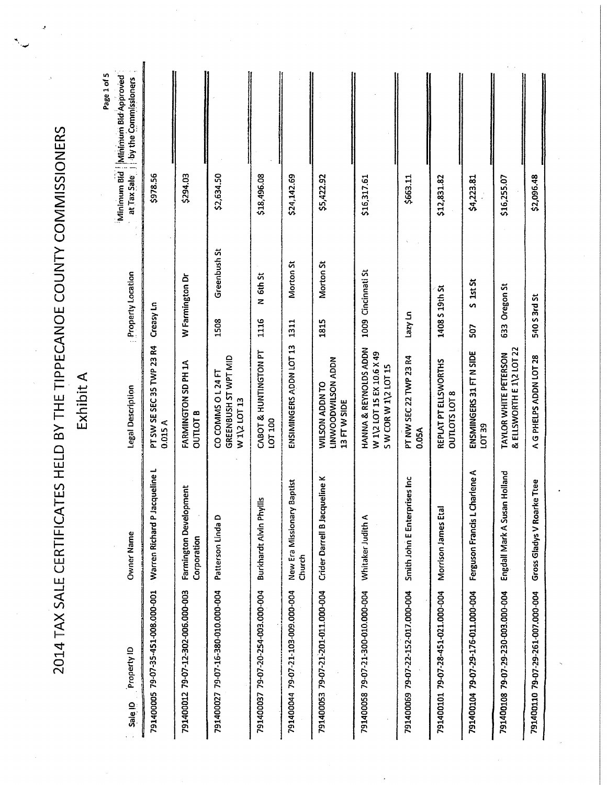| <b>CONNOCONNOCO ARAINING CONNOCONNOCON AND CAND CAN CONNOCONNOCONNOCONNOCONNOCONNO</b><br>^^ ・・・^ ^^ フ フ コ フ ハ !! フ ハ<br>$\frac{1}{1}$<br>I |  |
|---------------------------------------------------------------------------------------------------------------------------------------------|--|
| $\frac{1}{\Gamma}$<br>=<br>)<br>]<br>į<br>j<br>)<br><u>'</u><br>l<br>Ι<br>L                                                                 |  |
| ¢<br>l                                                                                                                                      |  |

**Exhibit A** 

Page 1 of 5

| at Tax Sale   by the Commissioners |                                      |                                        |                                                           |                                    |                                                |                                                     |                                                                          |                                    |                                              |                                    |                                                   |                                    |
|------------------------------------|--------------------------------------|----------------------------------------|-----------------------------------------------------------|------------------------------------|------------------------------------------------|-----------------------------------------------------|--------------------------------------------------------------------------|------------------------------------|----------------------------------------------|------------------------------------|---------------------------------------------------|------------------------------------|
| Minimum Bid   Minimum Bid Approved | \$978.56                             | \$294.03                               | \$2,634.50                                                | \$18,496.08                        | \$24,142.69                                    | \$5,422.92                                          | \$16,317.61                                                              | \$663.11                           | \$12,831.82                                  | \$4,223.81                         | \$16,255.07                                       | \$2,096.48                         |
| <b>Property Location</b>           | Creasy Ln                            | W Farmington Dr                        | Greenbush St<br>1508                                      | N 6th St<br>1116                   | Morton St<br>1311                              | Morton <sub>St</sub><br>1815                        | 1009 Cincinnati St                                                       | u) kzej                            | 1408 S 19th St                               | $S$ 1st $St$<br>507                | 633 Oregon St                                     | 540 S 3rd St                       |
| Legal Description                  | PT SW SE SEC 35 TWP 23 R4<br>0.015 A | FARMINGTON SD PH 1A<br><b>OUTLOT B</b> | GREENBUSH ST WPT MID<br>CO COMMS 0 L 24 FT<br>W1\2 LOT 13 | CABOT & HUNTINGTON PT<br>LOT 100   | ENSIMINGERS ADDN LOT 13                        | NGOV NOSTIMOODMNIT<br>WILSON ADDN TO<br>13 FTW SIDE | HANNA & REYNOLDS ADDN<br>W 1\2 LOT 15 EX 10.6 X 49<br>SW CORW 1\2 LOT 15 | PT NW SEC 22 TWP 23 R4<br>0.05A    | REPLAT PT ELLSWORTHS<br><b>OUTLOTS LOT 8</b> | ENSMINGERS 31 FT N SIDE<br>LOT 39  | & ELLSWORTH E 1\2 LOT 22<br>TAYLOR WHITE PETERSON | A G PHELPS ADDN LOT 28             |
| Owner Name                         | Warren Richard P Jacqueline L        | Farmington Development<br>Corporation  | Patterson Linda D                                         | 5<br>Burkhardt Alvin Phyll         | <b>Baptist</b><br>New Era Missionary<br>Church | Crider Darrell B Jacqueline K                       | Whitaker Judith A                                                        | ises Inc<br>Smith John E Enterpri  | Morrison James Etal                          | narlene A<br>Ferguson Francis LCI  | Holland<br>Engdall Mark A Susan                   | Gross Gladys V Roarke Ttee         |
| Property ID<br>Sale ID             | 791400005 79-07-35-451-008.000-001   | 791400012 79-07-12-302-006.000-003     | 791400027 79-07-16-380-010.000-004                        | 791400037 79-07-20-254-003.000-004 | 791400044 79-07-21-103-009.000-004             | 791400053 79-07-21-201-011.000-004                  | 791400058 79-07-21-300-010.000-004                                       | 791400069 79-07-22-152-017.000-004 | 791400101 79-07-28-451-021.000-004           | 791400104 79-07-29-176-011.000-004 | 791400108 79-07-29-230-003.000-004                | 791400110 79-07-29-261-007.000-004 |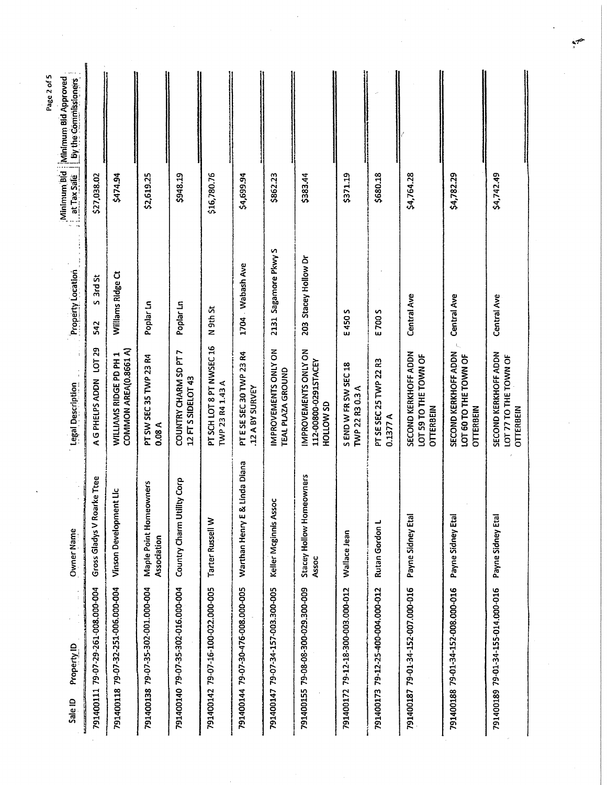| Minimum Bid   Minimum Bid Approved<br>  at Tax Sale     by the commitment |                                    |                                                 |                                       |                                             |                                              |                                            |                                           |                                                           |                                         |                                    |                                                            |                                                                   |                                                            |
|---------------------------------------------------------------------------|------------------------------------|-------------------------------------------------|---------------------------------------|---------------------------------------------|----------------------------------------------|--------------------------------------------|-------------------------------------------|-----------------------------------------------------------|-----------------------------------------|------------------------------------|------------------------------------------------------------|-------------------------------------------------------------------|------------------------------------------------------------|
|                                                                           | \$27,038.02                        | \$474.94                                        | \$2,619.25                            | \$948.19                                    | \$16,780.76                                  | \$4,699.94                                 | \$862.23                                  | \$383.44                                                  | \$371.19                                | \$680.18                           | \$4,764.28                                                 | \$4,782.29                                                        | \$4,742.49                                                 |
| <b>Property Location</b>                                                  | 3rd St<br>$\mathbf{v}$<br>542      | Williams Ridge Ct                               | Poplar Ln                             | Poplar Ln                                   | N 9th St                                     | 1704 Wabash Ave                            | 2131 Sagamore Pkwy S                      | 203 Stacey Hollow Dr                                      | E 450 S                                 | E700 S                             | Central Ave                                                | Central Ave                                                       | Central Ave                                                |
| Legal Description                                                         | LOT 29<br>A G PHELPS ADDN          | COMMON AREA(0.8661 A)<br>WILLIAMS RIDGE PD PH 1 | PT SW SEC 35 TWP 23 R4<br>0.08A       | COUNTRY CHARM SD PT 7<br>12 FT S SIDELOT 43 | PT SCH LOT 8 PT NWSEC 16<br>TWP 23 R4 1.43 A | PT E SE SEC 30 TWP 23 R4<br>12 A BY SURVEY | IMPROVEMENTS ONLY ON<br>TEAL PLAZA GROUND | IMPROVEMENTS ONLY ON<br>112-00800-0291STACEY<br>HOLLOW SD | S END W FR SW SEC 18<br>TWP 22 R3 0.3 A | PT SE SEC 25 TWP 22 R3<br>0.1377 A | SECOND KERKHOFF ADDN<br>LOT 59 TO THE TOWN OF<br>OTTERBEIN | SECOND KERKHOFF ADDN<br>LOT 60 TO THE TOWN OF<br><b>OTTERBEIN</b> | SECOND KERKHOFF ADDN<br>LOT 77 TO THE TOWN OF<br>OTTERBEIN |
| Owner Name                                                                | Gross Gladys V Roarke Ttee         | Vinson Development Lic                          | Maple Point Homeowners<br>Association | ity Corp<br>Country Charm Utill             | Tarter Russell W                             | Linda Diana<br>Warthan Henry E &           | Keller Mcginnis Assoc                     | Stacey Hollow Homeowners<br>Assoc                         | Wallace Jean                            | Rutan Gordon L                     | Payne Sidney Etal                                          | Payne Sidney Etal                                                 | Payne Sidney Etal                                          |
| $\frac{1}{3}$<br>Property ID<br><b>Sale ID</b>                            | 791400111 79-07-29-261-008.000-004 | 791400118 79-07-32-251-006.000-004              | 791400138 79-07-35-302-001.000-004    | 791400140 79-07-35-302-016.000-004          | 791400142 79-07-16-100-022.000-005           | 791400144 79-07-30-476-008.000-005         | 791400147 79-07-34-157-003.300-005        | 791400155 79-08-08-300-029.300-009                        | 791400172 79-12-18-300-003.000-012      | 791400173 79-12-25-400-004.000-012 | 791400187 79-01-34-152-007.000-016                         | 791400188 79-01-34-152-008.000-016                                | 791400189 79-01-34-155-014.000-016                         |

Page 2 of 5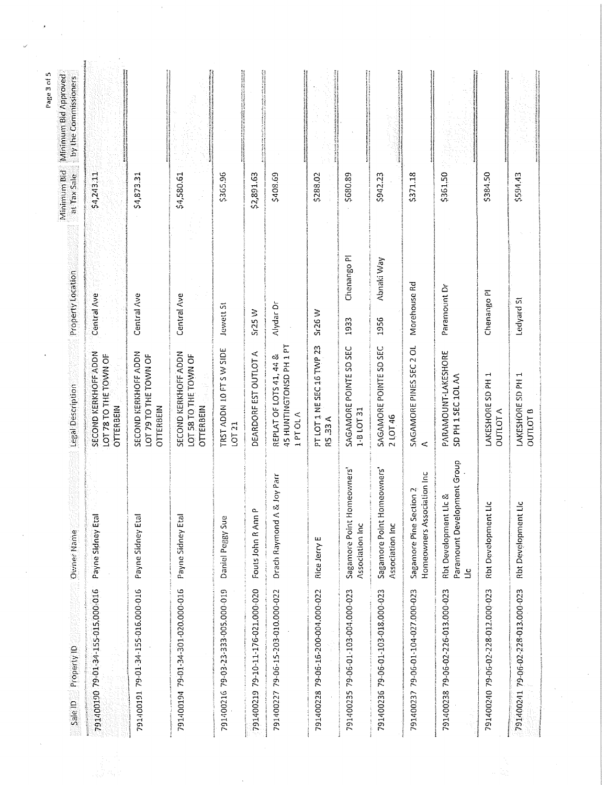| Minimum Bid Minimum Bid Approved<br>at Tax Sale by the Commissioners |                                                                   |                                                            |                                                            |                                    |                                    |                                                                       |                                             |                                               |                                               |                                                       |                                                                                 |                                      |                                          |
|----------------------------------------------------------------------|-------------------------------------------------------------------|------------------------------------------------------------|------------------------------------------------------------|------------------------------------|------------------------------------|-----------------------------------------------------------------------|---------------------------------------------|-----------------------------------------------|-----------------------------------------------|-------------------------------------------------------|---------------------------------------------------------------------------------|--------------------------------------|------------------------------------------|
|                                                                      | \$4,243.11                                                        | \$4,873.31                                                 | \$4,580.61                                                 | \$365.96                           | \$2,891.63                         | \$408.69                                                              | \$288.02                                    | \$680.89                                      | \$942.23                                      | \$371.18                                              | \$361.50                                                                        | \$384.50                             | \$594.43                                 |
| Property Location                                                    | Central Ave                                                       | Central Ave                                                | Central Ave                                                | Jewett St                          | Sr25W                              | Alydar Dr                                                             | Sr26 W                                      | Chenango PI<br>1933                           | Abnaki Way<br>1956                            | Morehouse Rd                                          | Paramount Dr                                                                    | Chenango PI                          | Ledyard St                               |
| Legal Description                                                    | SECOND KERKHOFF ADDN<br>LOT 78 TO THE TOWN OF<br><b>OTTERBEIN</b> | SECOND KERKHOFF ADDN<br>LOT 79 TO THE TOWN OF<br>OTTERBEIN | SECOND KERKHOFF ADDN<br>LOT 58 TO THE TOWN OF<br>OTTERBEIN | TRST ADDN 10 FT S W SIDE<br>LOT 21 | DEARDORF EST OUTLOT A              | 45 HUNTINGTONSD PH 1 PT<br>REPLAT OF LOTS 41, 44 &<br><b>A PT OLA</b> | PT LOT 1 NE SEC 16 TWP 23<br><b>R5.33 A</b> | SAGAMORE POINTE SD SEC<br>$1 - B$ LOT 31      | SAGAMORE POINTE SD SEC<br>2 LOT 46            | SAGAMORE PINES SEC 2 OL<br>$\,<\,$                    | PARAMOUNT-LAKESHORE<br>SD PH 1 SEC 10L AA                                       | LAKESHORE SD PH 1<br><b>OUTLOT A</b> | LAKESHORE SD PH 1<br>OUTLOT <sub>0</sub> |
| Owner Name                                                           | Payne Sidney Etal                                                 | Payne Sidney Etal                                          | Payne Sidney Etal                                          | Daniel Peggy Sue                   | Fouts John R Ann P                 | loy Parr<br>Drach Raymond A &                                         | Rice Jerry E                                | Sagamore Point Homeowners'<br>Association Inc | Sagamore Point Homeowners'<br>Association Inc | Homeowners Association Inc<br>Sagamore Pine Section 2 | Paramount Development Group<br>య<br><b>Rht Development Lic</b><br>$\frac{c}{1}$ | <b>Rbt Development Lic</b>           | <b>Rbt Development Lic</b>               |
| Sale ID Property ID                                                  | 791400190 79-01-34-155-015,000-016                                | 791400191 79-01-34-155-016.000-016                         | 791400194 79-01-34-301-020.000-016                         | 791400216 79-03-23-333-005.000-019 | 791400219 79-10-11-176-021.000-020 | 791400227 79-06-15-203-010.000-022                                    | 791400228 79-06-16-200-004.000-022          | 791400235 79-06-01-103-004.000-023            | 791400236 79-06-01-103-018.000-023            | 791400237 79-06-01-104-027.000-023                    | 791400238 79-06-02-226-013.000-023                                              | 791400240 79-06-02-228-012.000-023   | 79-06-02-228-013.000-023<br>791400241    |

Page 3 of 5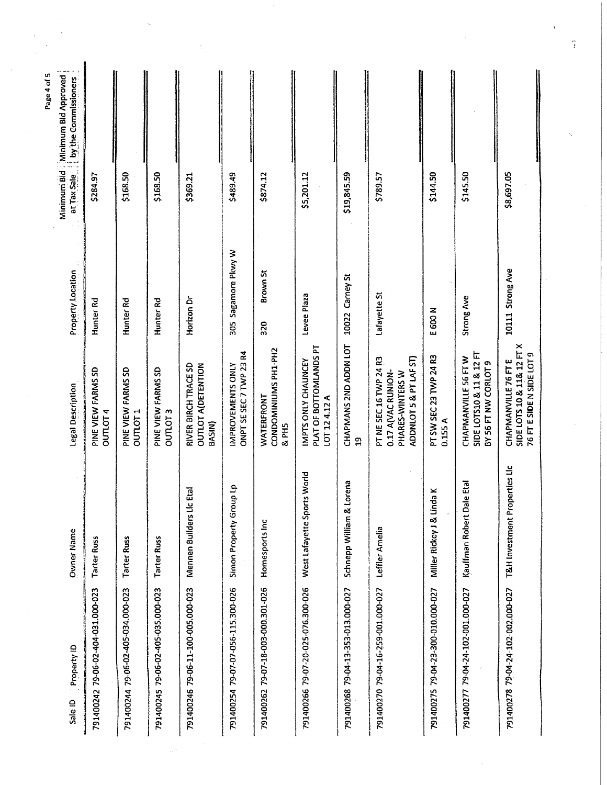| Minimum Bid Minimum Bid Approved<br>at Tax Sale     by the Commissioners |                                    |                                           |                                    |                                                             |                                                     |                                             |                                                               |                                       |                                                                                            |                                    |                                                                          |                                                                                 |
|--------------------------------------------------------------------------|------------------------------------|-------------------------------------------|------------------------------------|-------------------------------------------------------------|-----------------------------------------------------|---------------------------------------------|---------------------------------------------------------------|---------------------------------------|--------------------------------------------------------------------------------------------|------------------------------------|--------------------------------------------------------------------------|---------------------------------------------------------------------------------|
|                                                                          | \$284.97                           | \$168.50                                  | \$168.50                           | \$369.21                                                    | \$489.49                                            | \$874.12                                    | \$5,201.12                                                    | \$19,845.59                           | \$789.57                                                                                   | \$144.50                           | \$145.50                                                                 | \$8,697.05                                                                      |
| Property Location                                                        | Hunter Rd                          | Hunter <sub>Rd</sub>                      | Hunter <sub>Rd</sub>               | Horizon Dr                                                  | 305 Sagamore Pkwy W                                 | Brown St<br>320                             | Levee Plaza                                                   | 10022 Carney St                       | Lafayette St                                                                               | E 600 N                            | Strong Ave                                                               | 10111 Strong Ave                                                                |
| Legal Description                                                        | PINE VIEW FARMS SD<br>OUTLOT4      | PINE VIEW FARMS SD<br>OUTLOT <sub>1</sub> | PINE VIEW FARMS SD<br>OUTOIT3      | RIVER BIRCH TRACE SD<br>OUTLOT A(DETENTION<br><b>BASIN)</b> | ONPT SE SEC 7 TWP 23 R4<br><b>IMPROVEMENTS ONLY</b> | CONDOMINIUMS PH1-PH2<br>WATERFRONT<br>& PH5 | PLAT OF BOTTOMLANDS PT<br>IMPTS ONLY CHAUNCEY<br>LOT 124.12 A | CHAPMANS 2ND ADDN LOT<br>$\mathbf{a}$ | ADDNLOT 5 & PT LAF ST)<br>PT NE SEC 16 TWP 24 R3<br>0.17 A(VAC RUNION-<br>PHARES-WINTERS W | PT SW SEC 23 TWP 24 R3<br>0.155A   | SIDE LOTS10 & 11 & 12 FT<br>CHAPMANVILLE 56 FT W<br>BY 56 FT NW CORLOT 9 | SIDE LOTS 10 & 11& 12 FT X<br>76 FT E SIDE N SIDE LOT 9<br>CHAPMANVILLE 76 FT E |
| Owner Name                                                               | <b>Tarter Russ</b>                 | <b>Tarter Russ</b>                        | <b>Tarter Russ</b>                 | Mennen Builders Lic Etal                                    | Simon Property Group Lp                             | Homesports Inc                              | West Lafayette Sports World                                   | Schnepp William & Lorena              | Leffler Amelia                                                                             | Miller Rickey J & Linda K          | Kauffman Robert Dale Etal                                                | T&H Investment Properties Lic                                                   |
| Property ID<br>Sale ID                                                   | 791400242 79-06-02-404-031.000-023 | 791400244 79-06-02-405-034.000-023        | 791400245 79-06-02-405-035.000-023 | 791400246 79-06-11-100-005.000-023                          | 791400254 79-07-07-056-115.300-026                  | 791400262 79-07-18-003-000.301-026          | 791400266 79-07-20-025-076.300-026                            | 791400268 79-04-13-353-013.000-027    | 791400270 79-04-16-259-001.000-027                                                         | 791400275 79-04-23-300-010.000-027 | 791400277 79-04-24-102-001.000-027                                       | 791400278 79-04-24-102-002.000-027                                              |